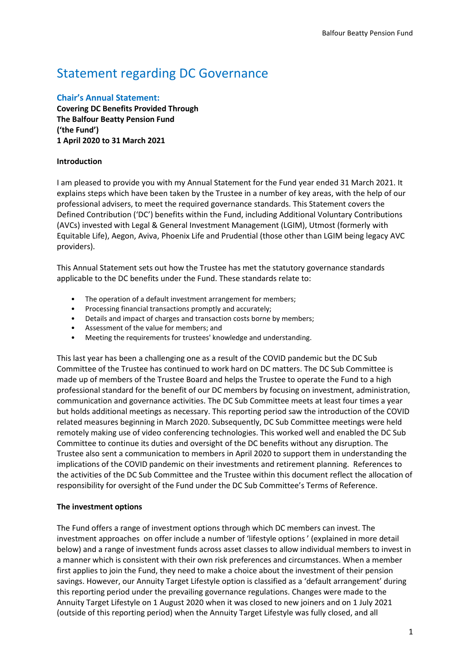# Statement regarding DC Governance

# **Chair's Annual Statement:**

**Covering DC Benefits Provided Through The Balfour Beatty Pension Fund ('the Fund') 1 April 2020 to 31 March 2021**

# **Introduction**

I am pleased to provide you with my Annual Statement for the Fund year ended 31 March 2021. It explains steps which have been taken by the Trustee in a number of key areas, with the help of our professional advisers, to meet the required governance standards. This Statement covers the Defined Contribution ('DC') benefits within the Fund, including Additional Voluntary Contributions (AVCs) invested with Legal & General Investment Management (LGIM), Utmost (formerly with Equitable Life), Aegon, Aviva, Phoenix Life and Prudential (those other than LGIM being legacy AVC providers).

This Annual Statement sets out how the Trustee has met the statutory governance standards applicable to the DC benefits under the Fund. These standards relate to:

- The operation of a default investment arrangement for members;
- Processing financial transactions promptly and accurately;
- Details and impact of charges and transaction costs borne by members;
- Assessment of the value for members; and
- Meeting the requirements for trustees' knowledge and understanding.

This last year has been a challenging one as a result of the COVID pandemic but the DC Sub Committee of the Trustee has continued to work hard on DC matters. The DC Sub Committee is made up of members of the Trustee Board and helps the Trustee to operate the Fund to a high professional standard for the benefit of our DC members by focusing on investment, administration, communication and governance activities. The DC Sub Committee meets at least four times a year but holds additional meetings as necessary. This reporting period saw the introduction of the COVID related measures beginning in March 2020. Subsequently, DC Sub Committee meetings were held remotely making use of video conferencing technologies. This worked well and enabled the DC Sub Committee to continue its duties and oversight of the DC benefits without any disruption. The Trustee also sent a communication to members in April 2020 to support them in understanding the implications of the COVID pandemic on their investments and retirement planning. References to the activities of the DC Sub Committee and the Trustee within this document reflect the allocation of responsibility for oversight of the Fund under the DC Sub Committee's Terms of Reference.

# **The investment options**

The Fund offers a range of investment options through which DC members can invest. The investment approaches on offer include a number of 'lifestyle options ' (explained in more detail below) and a range of investment funds across asset classes to allow individual members to invest in a manner which is consistent with their own risk preferences and circumstances. When a member first applies to join the Fund, they need to make a choice about the investment of their pension savings. However, our Annuity Target Lifestyle option is classified as a 'default arrangement' during this reporting period under the prevailing governance regulations. Changes were made to the Annuity Target Lifestyle on 1 August 2020 when it was closed to new joiners and on 1 July 2021 (outside of this reporting period) when the Annuity Target Lifestyle was fully closed, and all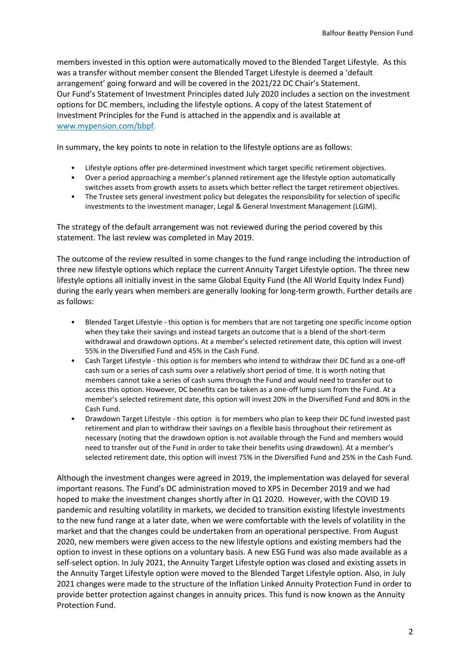members invested in this option were automatically moved to the Blended Target Lifestyle. As this was a transfer without member consent the Blended Target Lifestyle is deemed a 'default arrangement' going forward and will be covered in the 2021/22 DC Chair's Statement. Our Fund's Statement of Investment Principles dated July 2020 includes a section on the investment options for DC members, including the lifestyle options. A copy of the latest Statement of Investment Principles for the Fund is attached in the appendix and is available at [www.mypension.com/bbpf.](http://www.mypension.com/bbpf)

In summary, the key points to note in relation to the lifestyle options are as follows:

- Lifestyle options offer pre-determined investment which target specific retirement objectives.
- Over a period approaching a member's planned retirement age the lifestyle option automatically switches assets from growth assets to assets which better reflect the target retirement objectives.
- The Trustee sets general investment policy but delegates the responsibility for selection of specific investments to the investment manager, Legal & General Investment Management (LGIM).

The strategy of the default arrangement was not reviewed during the period covered by this statement. The last review was completed in May 2019.

The outcome of the review resulted in some changes to the fund range including the introduction of three new lifestyle options which replace the current Annuity Target Lifestyle option. The three new lifestyle options all initially invest in the same Global Equity Fund (the All World Equity Index Fund) during the early years when members are generally looking for long-term growth. Further details are as follows:

- Blended Target Lifestyle this option is for members that are not targeting one specific income option when they take their savings and instead targets an outcome that is a blend of the short-term withdrawal and drawdown options. At a member's selected retirement date, this option will invest 55% in the Diversified Fund and 45% in the Cash Fund.
- Cash Target Lifestyle this option is for members who intend to withdraw their DC fund as a one-off cash sum or a series of cash sums over a relatively short period of time. It is worth noting that members cannot take a series of cash sums through the Fund and would need to transfer out to access this option. However, DC benefits can be taken as a one-off lump sum from the Fund. At a member's selected retirement date, this option will invest 20% in the Diversified Fund and 80% in the Cash Fund.
- Drawdown Target Lifestyle this option is for members who plan to keep their DC fund invested past retirement and plan to withdraw their savings on a flexible basis throughout their retirement as necessary (noting that the drawdown option is not available through the Fund and members would need to transfer out of the Fund in order to take their benefits using drawdown). At a member's selected retirement date, this option will invest 75% in the Diversified Fund and 25% in the Cash Fund.

Although the investment changes were agreed in 2019, the implementation was delayed for several important reasons. The Fund's DC administration moved to XPS in December 2019 and we had hoped to make the investment changes shortly after in Q1 2020. However, with the COVID 19 pandemic and resulting volatility in markets, we decided to transition existing lifestyle investments to the new fund range at a later date, when we were comfortable with the levels of volatility in the market and that the changes could be undertaken from an operational perspective. From August 2020, new members were given access to the new lifestyle options and existing members had the option to invest in these options on a voluntary basis. A new ESG Fund was also made available as a self-select option. In July 2021, the Annuity Target Lifestyle option was closed and existing assets in the Annuity Target Lifestyle option were moved to the Blended Target Lifestyle option. Also, in July 2021 changes were made to the structure of the Inflation Linked Annuity Protection Fund in order to provide better protection against changes in annuity prices. This fund is now known as the Annuity Protection Fund.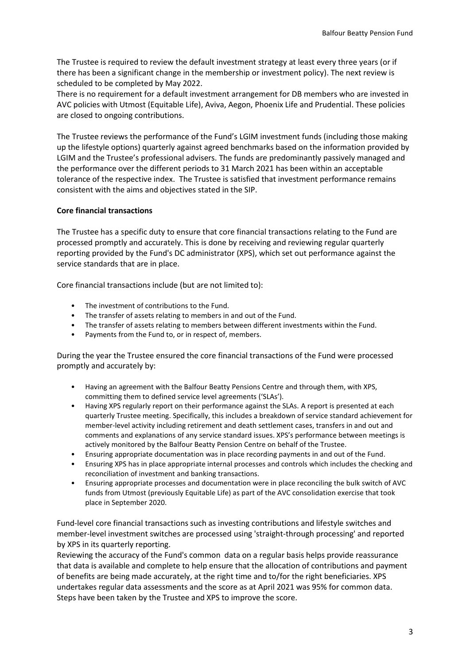The Trustee is required to review the default investment strategy at least every three years (or if there has been a significant change in the membership or investment policy). The next review is scheduled to be completed by May 2022.

There is no requirement for a default investment arrangement for DB members who are invested in AVC policies with Utmost (Equitable Life), Aviva, Aegon, Phoenix Life and Prudential. These policies are closed to ongoing contributions.

The Trustee reviews the performance of the Fund's LGIM investment funds (including those making up the lifestyle options) quarterly against agreed benchmarks based on the information provided by LGIM and the Trustee's professional advisers. The funds are predominantly passively managed and the performance over the different periods to 31 March 2021 has been within an acceptable tolerance of the respective index. The Trustee is satisfied that investment performance remains consistent with the aims and objectives stated in the SIP.

# **Core financial transactions**

The Trustee has a specific duty to ensure that core financial transactions relating to the Fund are processed promptly and accurately. This is done by receiving and reviewing regular quarterly reporting provided by the Fund's DC administrator (XPS), which set out performance against the service standards that are in place.

Core financial transactions include (but are not limited to):

- The investment of contributions to the Fund.
- The transfer of assets relating to members in and out of the Fund.
- The transfer of assets relating to members between different investments within the Fund.
- Payments from the Fund to, or in respect of, members.

During the year the Trustee ensured the core financial transactions of the Fund were processed promptly and accurately by:

- Having an agreement with the Balfour Beatty Pensions Centre and through them, with XPS, committing them to defined service level agreements ('SLAs').
- Having XPS regularly report on their performance against the SLAs. A report is presented at each quarterly Trustee meeting. Specifically, this includes a breakdown of service standard achievement for member-level activity including retirement and death settlement cases, transfers in and out and comments and explanations of any service standard issues. XPS's performance between meetings is actively monitored by the Balfour Beatty Pension Centre on behalf of the Trustee.
- Ensuring appropriate documentation was in place recording payments in and out of the Fund.
- Ensuring XPS has in place appropriate internal processes and controls which includes the checking and reconciliation of investment and banking transactions.
- Ensuring appropriate processes and documentation were in place reconciling the bulk switch of AVC funds from Utmost (previously Equitable Life) as part of the AVC consolidation exercise that took place in September 2020.

Fund-level core financial transactions such as investing contributions and lifestyle switches and member-level investment switches are processed using 'straight-through processing' and reported by XPS in its quarterly reporting.

Reviewing the accuracy of the Fund's common data on a regular basis helps provide reassurance that data is available and complete to help ensure that the allocation of contributions and payment of benefits are being made accurately, at the right time and to/for the right beneficiaries. XPS undertakes regular data assessments and the score as at April 2021 was 95% for common data. Steps have been taken by the Trustee and XPS to improve the score.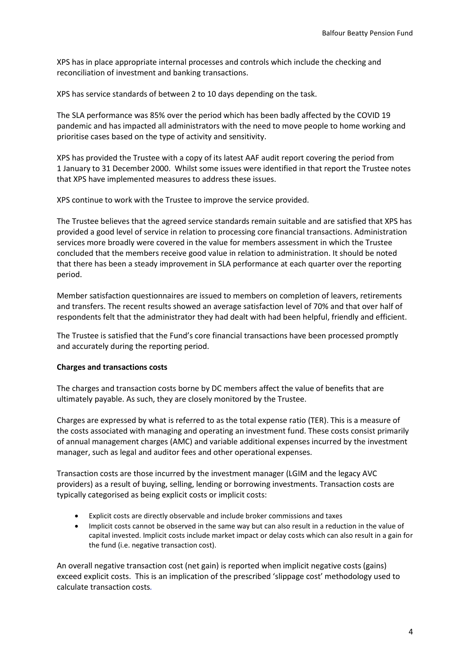XPS has in place appropriate internal processes and controls which include the checking and reconciliation of investment and banking transactions.

XPS has service standards of between 2 to 10 days depending on the task.

The SLA performance was 85% over the period which has been badly affected by the COVID 19 pandemic and has impacted all administrators with the need to move people to home working and prioritise cases based on the type of activity and sensitivity.

XPS has provided the Trustee with a copy of its latest AAF audit report covering the period from 1 January to 31 December 2000. Whilst some issues were identified in that report the Trustee notes that XPS have implemented measures to address these issues.

XPS continue to work with the Trustee to improve the service provided.

The Trustee believes that the agreed service standards remain suitable and are satisfied that XPS has provided a good level of service in relation to processing core financial transactions. Administration services more broadly were covered in the value for members assessment in which the Trustee concluded that the members receive good value in relation to administration. It should be noted that there has been a steady improvement in SLA performance at each quarter over the reporting period.

Member satisfaction questionnaires are issued to members on completion of leavers, retirements and transfers. The recent results showed an average satisfaction level of 70% and that over half of respondents felt that the administrator they had dealt with had been helpful, friendly and efficient.

The Trustee is satisfied that the Fund's core financial transactions have been processed promptly and accurately during the reporting period.

# **Charges and transactions costs**

The charges and transaction costs borne by DC members affect the value of benefits that are ultimately payable. As such, they are closely monitored by the Trustee.

Charges are expressed by what is referred to as the total expense ratio (TER). This is a measure of the costs associated with managing and operating an investment fund. These costs consist primarily of annual management charges (AMC) and variable additional expenses incurred by the investment manager, such as legal and auditor fees and other operational expenses.

Transaction costs are those incurred by the investment manager (LGIM and the legacy AVC providers) as a result of buying, selling, lending or borrowing investments. Transaction costs are typically categorised as being explicit costs or implicit costs:

- Explicit costs are directly observable and include broker commissions and taxes
- Implicit costs cannot be observed in the same way but can also result in a reduction in the value of capital invested. Implicit costs include market impact or delay costs which can also result in a gain for the fund (i.e. negative transaction cost).

An overall negative transaction cost (net gain) is reported when implicit negative costs (gains) exceed explicit costs. This is an implication of the prescribed 'slippage cost' methodology used to calculate transaction costs*.*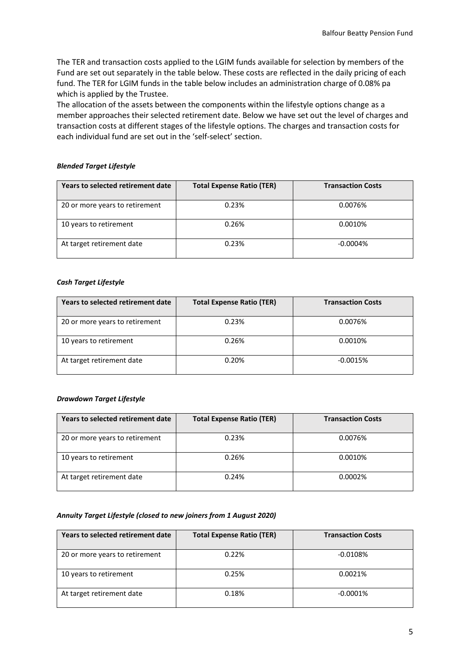The TER and transaction costs applied to the LGIM funds available for selection by members of the Fund are set out separately in the table below. These costs are reflected in the daily pricing of each fund. The TER for LGIM funds in the table below includes an administration charge of 0.08% pa which is applied by the Trustee.

The allocation of the assets between the components within the lifestyle options change as a member approaches their selected retirement date. Below we have set out the level of charges and transaction costs at different stages of the lifestyle options. The charges and transaction costs for each individual fund are set out in the 'self-select' section.

## *Blended Target Lifestyle*

| Years to selected retirement date | <b>Total Expense Ratio (TER)</b> | <b>Transaction Costs</b> |
|-----------------------------------|----------------------------------|--------------------------|
| 20 or more years to retirement    | 0.23%                            | 0.0076%                  |
| 10 years to retirement            | 0.26%                            | 0.0010%                  |
| At target retirement date         | 0.23%                            | $-0.0004%$               |

## *Cash Target Lifestyle*

| Years to selected retirement date | <b>Total Expense Ratio (TER)</b> | <b>Transaction Costs</b> |
|-----------------------------------|----------------------------------|--------------------------|
| 20 or more years to retirement    | 0.23%                            | 0.0076%                  |
| 10 years to retirement            | 0.26%                            | 0.0010%                  |
| At target retirement date         | 0.20%                            | $-0.0015%$               |

## *Drawdown Target Lifestyle*

| Years to selected retirement date | <b>Total Expense Ratio (TER)</b> | <b>Transaction Costs</b> |
|-----------------------------------|----------------------------------|--------------------------|
| 20 or more years to retirement    | 0.23%                            | 0.0076%                  |
| 10 years to retirement            | 0.26%                            | 0.0010%                  |
| At target retirement date         | 0.24%                            | 0.0002%                  |

## *Annuity Target Lifestyle (closed to new joiners from 1 August 2020)*

| Years to selected retirement date | <b>Total Expense Ratio (TER)</b> | <b>Transaction Costs</b> |
|-----------------------------------|----------------------------------|--------------------------|
| 20 or more years to retirement    | 0.22%                            | $-0.0108%$               |
| 10 years to retirement            | 0.25%                            | 0.0021%                  |
| At target retirement date         | 0.18%                            | $-0.0001%$               |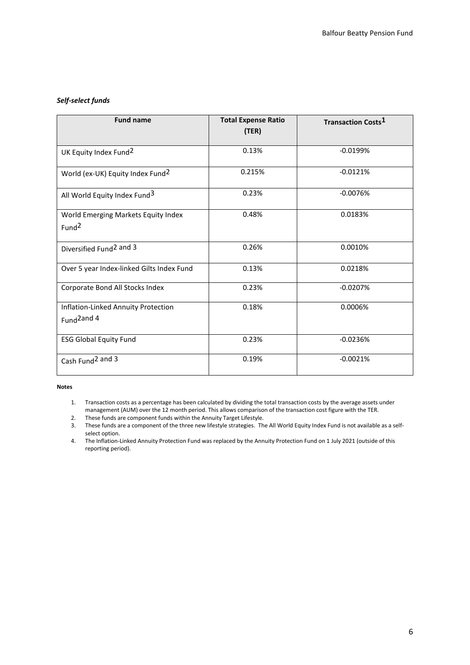# *Self-select funds*

| <b>Fund name</b>                                                         | <b>Total Expense Ratio</b><br>(TER) | <b>Transaction Costs<sup>1</sup></b> |
|--------------------------------------------------------------------------|-------------------------------------|--------------------------------------|
| UK Equity Index Fund <sup>2</sup>                                        | 0.13%                               | $-0.0199%$                           |
| World (ex-UK) Equity Index Fund <sup>2</sup>                             | 0.215%                              | $-0.0121%$                           |
| All World Equity Index Fund <sup>3</sup>                                 | 0.23%                               | $-0.0076%$                           |
| World Emerging Markets Equity Index<br>Fund <sup>2</sup>                 | 0.48%                               | 0.0183%                              |
| Diversified Fund <sup>2</sup> and 3                                      | 0.26%                               | 0.0010%                              |
| Over 5 year Index-linked Gilts Index Fund                                | 0.13%                               | 0.0218%                              |
| Corporate Bond All Stocks Index                                          | 0.23%                               | $-0.0207%$                           |
| Inflation-Linked Annuity Protection<br>Fund <sup>2and</sup> <sub>4</sub> | 0.18%                               | 0.0006%                              |
| <b>ESG Global Equity Fund</b>                                            | 0.23%                               | $-0.0236%$                           |
| Cash Fund <sup>2</sup> and 3                                             | 0.19%                               | $-0.0021%$                           |

#### **Notes**

- 2. These funds are component funds within the Annuity Target Lifestyle.<br>3. These funds are a component of the three new lifestyle strategies. The
- These funds are a component of the three new lifestyle strategies. The All World Equity Index Fund is not available as a selfselect option.
- 4. The Inflation-Linked Annuity Protection Fund was replaced by the Annuity Protection Fund on 1 July 2021 (outside of this reporting period).

<sup>1.</sup> Transaction costs as a percentage has been calculated by dividing the total transaction costs by the average assets under management (AUM) over the 12 month period. This allows comparison of the transaction cost figure with the TER.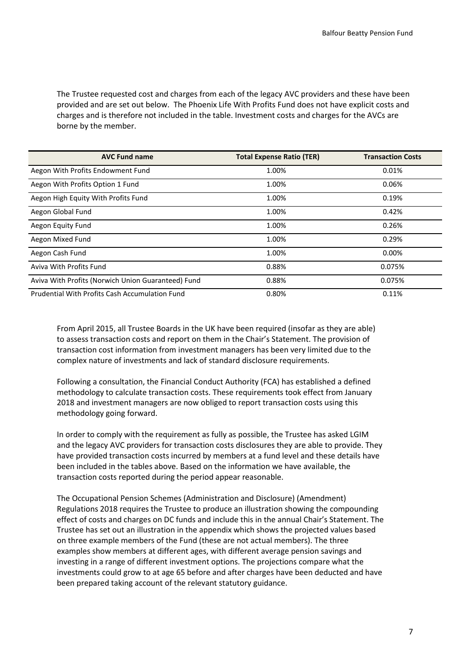The Trustee requested cost and charges from each of the legacy AVC providers and these have been provided and are set out below. The Phoenix Life With Profits Fund does not have explicit costs and charges and is therefore not included in the table. Investment costs and charges for the AVCs are borne by the member.

| <b>AVC Fund name</b>                               | <b>Total Expense Ratio (TER)</b> | <b>Transaction Costs</b> |
|----------------------------------------------------|----------------------------------|--------------------------|
| Aegon With Profits Endowment Fund                  | 1.00%                            | 0.01%                    |
| Aegon With Profits Option 1 Fund                   | 1.00%                            | 0.06%                    |
| Aegon High Equity With Profits Fund                | 1.00%                            | 0.19%                    |
| Aegon Global Fund                                  | 1.00%                            | 0.42%                    |
| Aegon Equity Fund                                  | 1.00%                            | 0.26%                    |
| Aegon Mixed Fund                                   | 1.00%                            | 0.29%                    |
| Aegon Cash Fund                                    | 1.00%                            | $0.00\%$                 |
| Aviva With Profits Fund                            | 0.88%                            | 0.075%                   |
| Aviva With Profits (Norwich Union Guaranteed) Fund | 0.88%                            | 0.075%                   |
| Prudential With Profits Cash Accumulation Fund     | 0.80%                            | 0.11%                    |

From April 2015, all Trustee Boards in the UK have been required (insofar as they are able) to assess transaction costs and report on them in the Chair's Statement. The provision of transaction cost information from investment managers has been very limited due to the complex nature of investments and lack of standard disclosure requirements.

Following a consultation, the Financial Conduct Authority (FCA) has established a defined methodology to calculate transaction costs. These requirements took effect from January 2018 and investment managers are now obliged to report transaction costs using this methodology going forward.

In order to comply with the requirement as fully as possible, the Trustee has asked LGIM and the legacy AVC providers for transaction costs disclosures they are able to provide. They have provided transaction costs incurred by members at a fund level and these details have been included in the tables above. Based on the information we have available, the transaction costs reported during the period appear reasonable.

The Occupational Pension Schemes (Administration and Disclosure) (Amendment) Regulations 2018 requires the Trustee to produce an illustration showing the compounding effect of costs and charges on DC funds and include this in the annual Chair's Statement. The Trustee has set out an illustration in the appendix which shows the projected values based on three example members of the Fund (these are not actual members). The three examples show members at different ages, with different average pension savings and investing in a range of different investment options. The projections compare what the investments could grow to at age 65 before and after charges have been deducted and have been prepared taking account of the relevant statutory guidance.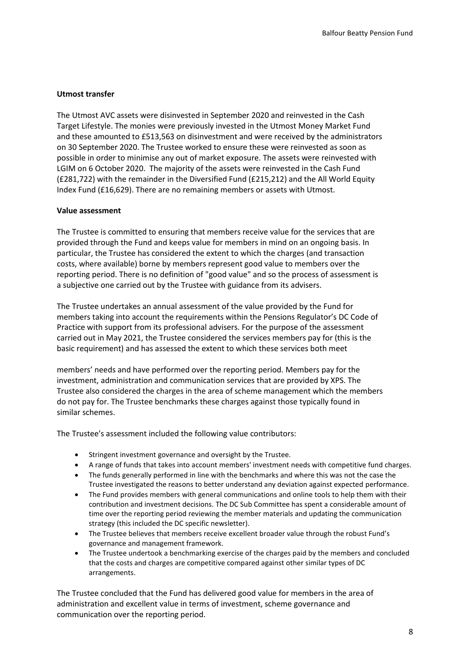# **Utmost transfer**

The Utmost AVC assets were disinvested in September 2020 and reinvested in the Cash Target Lifestyle. The monies were previously invested in the Utmost Money Market Fund and these amounted to £513,563 on disinvestment and were received by the administrators on 30 September 2020. The Trustee worked to ensure these were reinvested as soon as possible in order to minimise any out of market exposure. The assets were reinvested with LGIM on 6 October 2020. The majority of the assets were reinvested in the Cash Fund (£281,722) with the remainder in the Diversified Fund (£215,212) and the All World Equity Index Fund (£16,629). There are no remaining members or assets with Utmost.

## **Value assessment**

The Trustee is committed to ensuring that members receive value for the services that are provided through the Fund and keeps value for members in mind on an ongoing basis. In particular, the Trustee has considered the extent to which the charges (and transaction costs, where available) borne by members represent good value to members over the reporting period. There is no definition of "good value" and so the process of assessment is a subjective one carried out by the Trustee with guidance from its advisers.

The Trustee undertakes an annual assessment of the value provided by the Fund for members taking into account the requirements within the Pensions Regulator's DC Code of Practice with support from its professional advisers. For the purpose of the assessment carried out in May 2021, the Trustee considered the services members pay for (this is the basic requirement) and has assessed the extent to which these services both meet

members' needs and have performed over the reporting period. Members pay for the investment, administration and communication services that are provided by XPS. The Trustee also considered the charges in the area of scheme management which the members do not pay for. The Trustee benchmarks these charges against those typically found in similar schemes.

The Trustee's assessment included the following value contributors:

- Stringent investment governance and oversight by the Trustee.
- A range of funds that takes into account members' investment needs with competitive fund charges.
- The funds generally performed in line with the benchmarks and where this was not the case the Trustee investigated the reasons to better understand any deviation against expected performance.
- The Fund provides members with general communications and online tools to help them with their contribution and investment decisions. The DC Sub Committee has spent a considerable amount of time over the reporting period reviewing the member materials and updating the communication strategy (this included the DC specific newsletter).
- The Trustee believes that members receive excellent broader value through the robust Fund's governance and management framework.
- The Trustee undertook a benchmarking exercise of the charges paid by the members and concluded that the costs and charges are competitive compared against other similar types of DC arrangements.

The Trustee concluded that the Fund has delivered good value for members in the area of administration and excellent value in terms of investment, scheme governance and communication over the reporting period.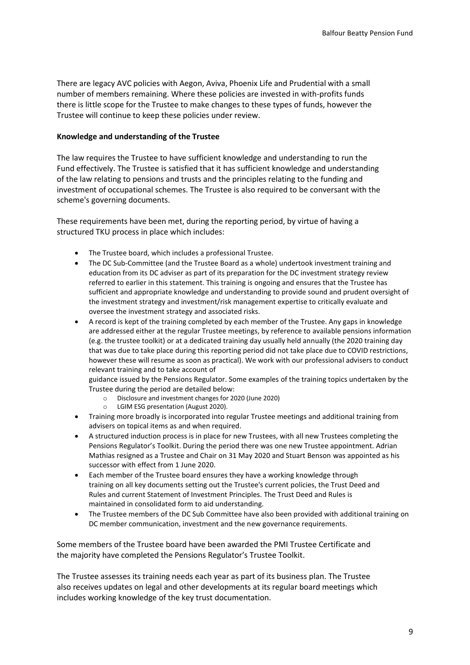There are legacy AVC policies with Aegon, Aviva, Phoenix Life and Prudential with a small number of members remaining. Where these policies are invested in with-profits funds there is little scope for the Trustee to make changes to these types of funds, however the Trustee will continue to keep these policies under review.

# **Knowledge and understanding of the Trustee**

The law requires the Trustee to have sufficient knowledge and understanding to run the Fund effectively. The Trustee is satisfied that it has sufficient knowledge and understanding of the law relating to pensions and trusts and the principles relating to the funding and investment of occupational schemes. The Trustee is also required to be conversant with the scheme's governing documents.

These requirements have been met, during the reporting period, by virtue of having a structured TKU process in place which includes:

- The Trustee board, which includes a professional Trustee.
- The DC Sub-Committee (and the Trustee Board as a whole) undertook investment training and education from its DC adviser as part of its preparation for the DC investment strategy review referred to earlier in this statement. This training is ongoing and ensures that the Trustee has sufficient and appropriate knowledge and understanding to provide sound and prudent oversight of the investment strategy and investment/risk management expertise to critically evaluate and oversee the investment strategy and associated risks.
- A record is kept of the training completed by each member of the Trustee. Any gaps in knowledge are addressed either at the regular Trustee meetings, by reference to available pensions information (e.g. the trustee toolkit) or at a dedicated training day usually held annually (the 2020 training day that was due to take place during this reporting period did not take place due to COVID restrictions, however these will resume as soon as practical). We work with our professional advisers to conduct relevant training and to take account of

guidance issued by the Pensions Regulator. Some examples of the training topics undertaken by the Trustee during the period are detailed below:

- o Disclosure and investment changes for 2020 (June 2020)
- o LGIM ESG presentation (August 2020).
- Training more broadly is incorporated into regular Trustee meetings and additional training from advisers on topical items as and when required.
- A structured induction process is in place for new Trustees, with all new Trustees completing the Pensions Regulator's Toolkit. During the period there was one new Trustee appointment. Adrian Mathias resigned as a Trustee and Chair on 31 May 2020 and Stuart Benson was appointed as his successor with effect from 1 June 2020.
- Each member of the Trustee board ensures they have a working knowledge through training on all key documents setting out the Trustee's current policies, the Trust Deed and Rules and current Statement of Investment Principles. The Trust Deed and Rules is maintained in consolidated form to aid understanding.
- The Trustee members of the DC Sub Committee have also been provided with additional training on DC member communication, investment and the new governance requirements.

Some members of the Trustee board have been awarded the PMI Trustee Certificate and the majority have completed the Pensions Regulator's Trustee Toolkit.

The Trustee assesses its training needs each year as part of its business plan. The Trustee also receives updates on legal and other developments at its regular board meetings which includes working knowledge of the key trust documentation.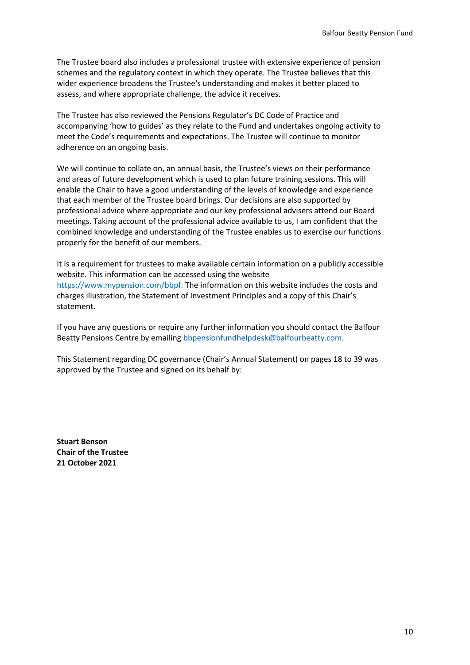The Trustee board also includes a professional trustee with extensive experience of pension schemes and the regulatory context in which they operate. The Trustee believes that this wider experience broadens the Trustee's understanding and makes it better placed to assess, and where appropriate challenge, the advice it receives.

The Trustee has also reviewed the Pensions Regulator's DC Code of Practice and accompanying 'how to guides' as they relate to the Fund and undertakes ongoing activity to meet the Code's requirements and expectations. The Trustee will continue to monitor adherence on an ongoing basis.

We will continue to collate on, an annual basis, the Trustee's views on their performance and areas of future development which is used to plan future training sessions. This will enable the Chair to have a good understanding of the levels of knowledge and experience that each member of the Trustee board brings. Our decisions are also supported by professional advice where appropriate and our key professional advisers attend our Board meetings. Taking account of the professional advice available to us, I am confident that the combined knowledge and understanding of the Trustee enables us to exercise our functions properly for the benefit of our members.

It is a requirement for trustees to make available certain information on a publicly accessible website. This information can be accessed using the website [https://www.mypension.com/bbpf.](https://www.mypension.com/bbpf) The information on this website includes the costs and charges illustration, the Statement of Investment Principles and a copy of this Chair's statement.

If you have any questions or require any further information you should contact the Balfour Beatty Pensions Centre by emailing [bbpensionfundhelpdesk@balfourbeatty.com.](mailto:bbpensionfundhelpdesk@balfourbeatty.com)

This Statement regarding DC governance (Chair's Annual Statement) on pages 18 to 39 was approved by the Trustee and signed on its behalf by:

**Stuart Benson Chair of the Trustee 21 October 2021**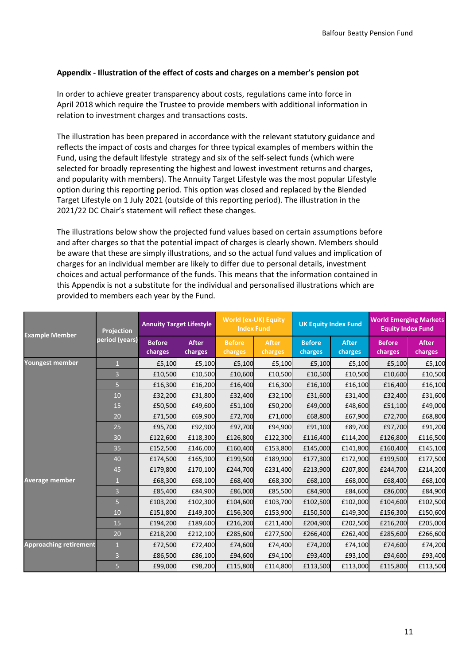# **Appendix - Illustration of the effect of costs and charges on a member's pension pot**

In order to achieve greater transparency about costs, regulations came into force in April 2018 which require the Trustee to provide members with additional information in relation to investment charges and transactions costs.

The illustration has been prepared in accordance with the relevant statutory guidance and reflects the impact of costs and charges for three typical examples of members within the Fund, using the default lifestyle strategy and six of the self-select funds (which were selected for broadly representing the highest and lowest investment returns and charges, and popularity with members). The Annuity Target Lifestyle was the most popular Lifestyle option during this reporting period. This option was closed and replaced by the Blended Target Lifestyle on 1 July 2021 (outside of this reporting period). The illustration in the 2021/22 DC Chair's statement will reflect these changes.

The illustrations below show the projected fund values based on certain assumptions before and after charges so that the potential impact of charges is clearly shown. Members should be aware that these are simply illustrations, and so the actual fund values and implication of charges for an individual member are likely to differ due to personal details, investment choices and actual performance of the funds. This means that the information contained in this Appendix is not a substitute for the individual and personalised illustrations which are provided to members each year by the Fund.

| <b>Example Member</b>         | Projection     | <b>Annuity Target Lifestyle</b> |                         | <b>World (ex-UK) Equity</b><br><b>Index Fund</b> |                         | <b>UK Equity Index Fund</b> |                         | <b>World Emerging Markets</b><br><b>Equity Index Fund</b> |                         |
|-------------------------------|----------------|---------------------------------|-------------------------|--------------------------------------------------|-------------------------|-----------------------------|-------------------------|-----------------------------------------------------------|-------------------------|
|                               | period (years) | <b>Before</b><br>charges        | <b>After</b><br>charges | <b>Before</b><br>charges                         | <b>After</b><br>charges | <b>Before</b><br>charges    | <b>After</b><br>charges | <b>Before</b><br>charges                                  | <b>After</b><br>charges |
| Youngest member               | $\mathbf{1}$   | £5,100                          | £5,100                  | £5,100                                           | £5,100                  | £5,100                      | £5,100                  | £5,100                                                    | £5,100                  |
|                               | 3              | £10,500                         | £10,500                 | £10,600                                          | £10,500                 | £10,500                     | £10,500                 | £10,600                                                   | £10,500                 |
|                               | 5              | £16,300                         | £16,200                 | £16,400                                          | £16,300                 | £16,100                     | £16,100                 | £16,400                                                   | £16,100                 |
|                               | 10             | £32,200                         | £31,800                 | £32,400                                          | £32,100                 | £31,600                     | £31,400                 | £32,400                                                   | £31,600                 |
|                               | 15             | £50,500                         | £49,600                 | £51,100                                          | £50,200                 | £49,000                     | £48,600                 | £51,100                                                   | £49,000                 |
|                               | 20             | £71,500                         | £69,900                 | £72,700                                          | £71,000                 | £68,800                     | £67,900                 | £72,700                                                   | £68,800                 |
|                               | 25             | £95,700                         | £92,900                 | £97,700                                          | £94,900                 | £91,100                     | £89,700                 | £97,700                                                   | £91,200                 |
|                               | 30             | £122,600                        | £118,300                | £126,800                                         | £122,300                | £116,400                    | £114,200                | £126,800                                                  | £116,500                |
|                               | 35             | £152,500                        | £146,000                | £160,400                                         | £153,800                | £145,000                    | £141,800                | £160,400                                                  | £145,100                |
|                               | 40             | £174,500                        | £165,900                | £199,500                                         | £189,900                | £177,300                    | £172,900                | £199,500                                                  | £177,500                |
|                               | 45             | £179,800                        | £170,100                | £244,700                                         | £231,400                | £213,900                    | £207,800                | £244,700                                                  | £214,200                |
| <b>Average member</b>         | $\mathbf{1}$   | £68,300                         | £68,100                 | £68,400                                          | £68,300                 | £68,100                     | £68,000                 | £68,400                                                   | £68,100                 |
|                               | 3              | £85,400                         | £84,900                 | £86,000                                          | £85,500                 | £84,900                     | £84,600                 | £86,000                                                   | £84,900                 |
|                               | 5              | £103,200                        | £102,300                | £104,600                                         | £103,700                | £102,500                    | £102,000                | £104,600                                                  | £102,500                |
|                               | 10             | £151,800                        | £149,300                | £156,300                                         | £153,900                | £150,500                    | £149,300                | £156,300                                                  | £150,600                |
|                               | 15             | £194,200                        | £189,600                | £216,200                                         | £211,400                | £204,900                    | £202,500                | £216,200                                                  | £205,000                |
|                               | 20             | £218,200                        | £212,100                | £285,600                                         | £277,500                | £266,400                    | £262,400                | £285,600                                                  | £266,600                |
| <b>Approaching retirement</b> | $\mathbf{1}$   | £72,500                         | £72,400                 | £74,600                                          | £74,400                 | £74,200                     | £74,100                 | £74,600                                                   | £74,200                 |
|                               | 3              | £86,500                         | £86,100                 | £94,600                                          | £94,100                 | £93,400                     | £93,100                 | £94,600                                                   | £93,400                 |
|                               | 5              | £99,000                         | £98,200                 | £115,800                                         | £114,800                | £113,500                    | £113,000                | £115,800                                                  | £113,500                |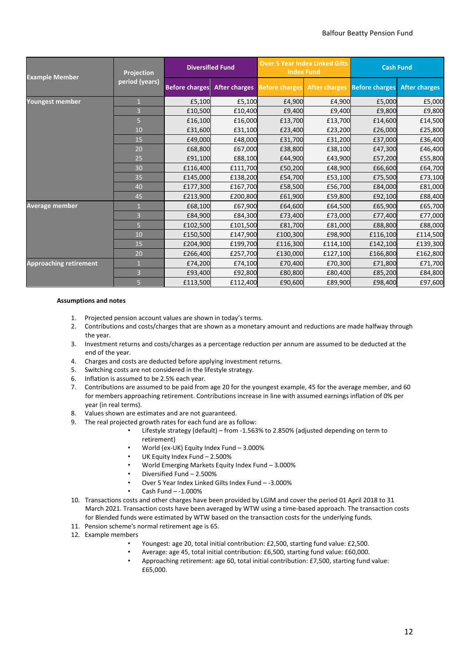#### Balfour Beatty Pension Fund

| <b>Example Member</b>         | Projection     | <b>Diversified Fund</b> |          | <b>Index Fund</b> | <b>Over 5 Year Index Linked Gilts</b> | <b>Cash Fund</b>                                          |                      |
|-------------------------------|----------------|-------------------------|----------|-------------------|---------------------------------------|-----------------------------------------------------------|----------------------|
|                               | period (years) | <b>Before charges</b>   |          |                   |                                       | After charges Before charges After charges Before charges | <b>After charges</b> |
| <b>Youngest member</b>        |                | £5,100                  | £5,100   | £4,900            | £4,900                                | £5,000                                                    | £5,000               |
|                               | 3              | £10,500                 | £10,400  | £9,400            | £9,400                                | £9,800                                                    | £9,800               |
|                               | 5              | £16,100                 | £16,000  | £13,700           | £13,700                               | £14,600                                                   | £14,500              |
|                               | 10             | £31,600                 | £31,100  | £23,400           | £23,200                               | £26,000                                                   | £25,800              |
|                               | 15             | £49,000                 | £48,000  | £31,700           | £31,200                               | £37,000                                                   | £36,400              |
|                               | 20             | £68,800                 | £67,000  | £38,800           | £38,100                               | £47,300                                                   | £46,400              |
|                               | 25             | £91,100                 | £88,100  | £44,900           | £43,900                               | £57,200                                                   | £55,800              |
|                               | 30             | £116,400                | £111,700 | £50,200           | £48,900                               | £66,600                                                   | £64,700              |
|                               | 35             | £145,000                | £138,200 | £54,700           | £53,100                               | £75,500                                                   | £73,100              |
|                               | 40             | £177,300                | £167,700 | £58,500           | £56,700                               | £84,000                                                   | £81,000              |
|                               | 45             | £213,900                | £200,800 | £61,900           | £59,800                               | £92,100                                                   | £88,400              |
| <b>Average member</b>         | $\mathbf{1}$   | £68,100                 | £67,900  | £64,600           | £64,500                               | £65,900                                                   | £65,700              |
|                               | 3              | £84,900                 | £84,300  | £73,400           | £73,000                               | £77,400                                                   | £77,000              |
|                               | 5              | £102,500                | £101,500 | £81,700           | £81,000                               | £88,800                                                   | £88,000              |
|                               | 10             | £150,500                | £147,900 | £100,300          | £98,900                               | £116,100                                                  | £114,500             |
|                               | 15             | £204,900                | £199,700 | £116,300          | £114,100                              | £142,100                                                  | £139,300             |
|                               | 20             | £266,400                | £257,700 | £130,000          | £127,100                              | £166,800                                                  | £162,800             |
| <b>Approaching retirement</b> | $\mathbf{1}$   | £74,200                 | £74,100  | £70,400           | £70,300                               | £71,800                                                   | £71,700              |
|                               | 3              | £93,400                 | £92,800  | £80,800           | £80,400                               | £85,200                                                   | £84,800              |
|                               | 5              | £113,500                | £112,400 | £90,600           | £89,900                               | £98,400                                                   | £97,600              |

#### **Assumptions and notes**

- 1. Projected pension account values are shown in today's terms.
- 2. Contributions and costs/charges that are shown as a monetary amount and reductions are made halfway through the year.
- 3. Investment returns and costs/charges as a percentage reduction per annum are assumed to be deducted at the end of the year.
- 4. Charges and costs are deducted before applying investment returns.
- 5. Switching costs are not considered in the lifestyle strategy.
- 6. Inflation is assumed to be 2.5% each year.
- 7. Contributions are assumed to be paid from age 20 for the youngest example, 45 for the average member, and 60 for members approaching retirement. Contributions increase in line with assumed earnings inflation of 0% per year (in real terms).
- 8. Values shown are estimates and are not guaranteed.
- 9. The real projected growth rates for each fund are as follow:
	- Lifestyle strategy (default) from -1.563% to 2.850% (adjusted depending on term to retirement)
	- World (ex-UK) Equity Index Fund 3.000%
	- UK Equity Index Fund 2.500%
	- World Emerging Markets Equity Index Fund 3.000%
	- Diversified Fund 2.500%
	- Over 5 Year Index Linked Gilts Index Fund -3.000%
	- Cash Fund -1.000%
- 10. Transactions costs and other charges have been provided by LGIM and cover the period 01 April 2018 to 31 March 2021. Transaction costs have been averaged by WTW using a time-based approach. The transaction costs for Blended funds were estimated by WTW based on the transaction costs for the underlying funds.
- 11. Pension scheme's normal retirement age is 65.
- 12. Example members
	- Youngest: age 20, total initial contribution: £2,500, starting fund value: £2,500.
	- Average: age 45, total initial contribution: £6,500, starting fund value: £60,000.
	- Approaching retirement: age 60, total initial contribution: £7,500, starting fund value: £65,000.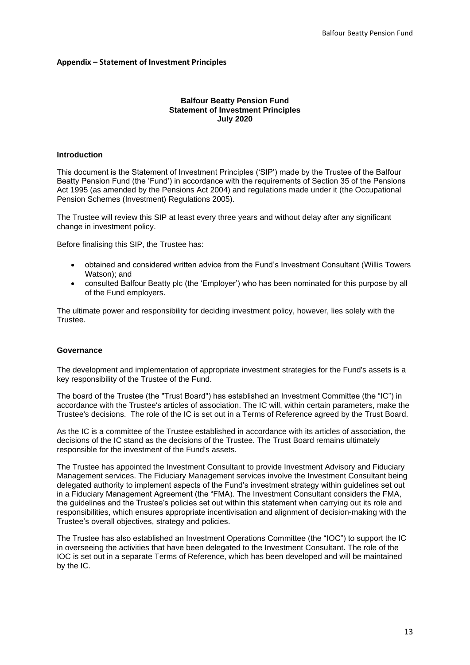## **Appendix – Statement of Investment Principles**

## **Balfour Beatty Pension Fund Statement of Investment Principles July 2020**

## **Introduction**

This document is the Statement of Investment Principles ('SIP') made by the Trustee of the Balfour Beatty Pension Fund (the 'Fund') in accordance with the requirements of Section 35 of the Pensions Act 1995 (as amended by the Pensions Act 2004) and regulations made under it (the Occupational Pension Schemes (Investment) Regulations 2005).

The Trustee will review this SIP at least every three years and without delay after any significant change in investment policy.

Before finalising this SIP, the Trustee has:

- obtained and considered written advice from the Fund's Investment Consultant (Willis Towers Watson); and
- consulted Balfour Beatty plc (the 'Employer') who has been nominated for this purpose by all of the Fund employers.

The ultimate power and responsibility for deciding investment policy, however, lies solely with the **Trustee.** 

## **Governance**

The development and implementation of appropriate investment strategies for the Fund's assets is a key responsibility of the Trustee of the Fund.

The board of the Trustee (the "Trust Board") has established an Investment Committee (the "IC") in accordance with the Trustee's articles of association. The IC will, within certain parameters, make the Trustee's decisions. The role of the IC is set out in a Terms of Reference agreed by the Trust Board.

As the IC is a committee of the Trustee established in accordance with its articles of association, the decisions of the IC stand as the decisions of the Trustee. The Trust Board remains ultimately responsible for the investment of the Fund's assets.

The Trustee has appointed the Investment Consultant to provide Investment Advisory and Fiduciary Management services. The Fiduciary Management services involve the Investment Consultant being delegated authority to implement aspects of the Fund's investment strategy within guidelines set out in a Fiduciary Management Agreement (the "FMA). The Investment Consultant considers the FMA, the guidelines and the Trustee's policies set out within this statement when carrying out its role and responsibilities, which ensures appropriate incentivisation and alignment of decision-making with the Trustee's overall objectives, strategy and policies.

The Trustee has also established an Investment Operations Committee (the "IOC") to support the IC in overseeing the activities that have been delegated to the Investment Consultant. The role of the IOC is set out in a separate Terms of Reference, which has been developed and will be maintained by the IC.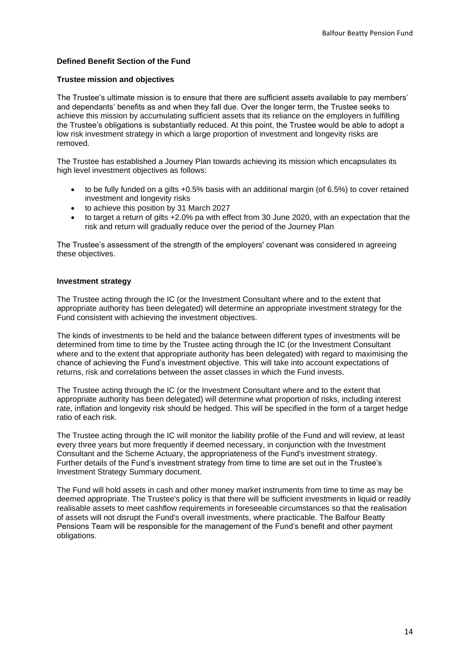# **Defined Benefit Section of the Fund**

## **Trustee mission and objectives**

The Trustee's ultimate mission is to ensure that there are sufficient assets available to pay members' and dependants' benefits as and when they fall due. Over the longer term, the Trustee seeks to achieve this mission by accumulating sufficient assets that its reliance on the employers in fulfilling the Trustee's obligations is substantially reduced. At this point, the Trustee would be able to adopt a low risk investment strategy in which a large proportion of investment and longevity risks are removed.

The Trustee has established a Journey Plan towards achieving its mission which encapsulates its high level investment objectives as follows:

- to be fully funded on a gilts +0.5% basis with an additional margin (of 6.5%) to cover retained investment and longevity risks
- to achieve this position by 31 March 2027
- to target a return of gilts +2.0% pa with effect from 30 June 2020, with an expectation that the risk and return will gradually reduce over the period of the Journey Plan

The Trustee's assessment of the strength of the employers' covenant was considered in agreeing these objectives.

## **Investment strategy**

The Trustee acting through the IC (or the Investment Consultant where and to the extent that appropriate authority has been delegated) will determine an appropriate investment strategy for the Fund consistent with achieving the investment objectives.

The kinds of investments to be held and the balance between different types of investments will be determined from time to time by the Trustee acting through the IC (or the Investment Consultant where and to the extent that appropriate authority has been delegated) with regard to maximising the chance of achieving the Fund's investment objective. This will take into account expectations of returns, risk and correlations between the asset classes in which the Fund invests.

The Trustee acting through the IC (or the Investment Consultant where and to the extent that appropriate authority has been delegated) will determine what proportion of risks, including interest rate, inflation and longevity risk should be hedged. This will be specified in the form of a target hedge ratio of each risk.

The Trustee acting through the IC will monitor the liability profile of the Fund and will review, at least every three years but more frequently if deemed necessary, in conjunction with the Investment Consultant and the Scheme Actuary, the appropriateness of the Fund's investment strategy. Further details of the Fund's investment strategy from time to time are set out in the Trustee's Investment Strategy Summary document.

The Fund will hold assets in cash and other money market instruments from time to time as may be deemed appropriate. The Trustee's policy is that there will be sufficient investments in liquid or readily realisable assets to meet cashflow requirements in foreseeable circumstances so that the realisation of assets will not disrupt the Fund's overall investments, where practicable. The Balfour Beatty Pensions Team will be responsible for the management of the Fund's benefit and other payment obligations.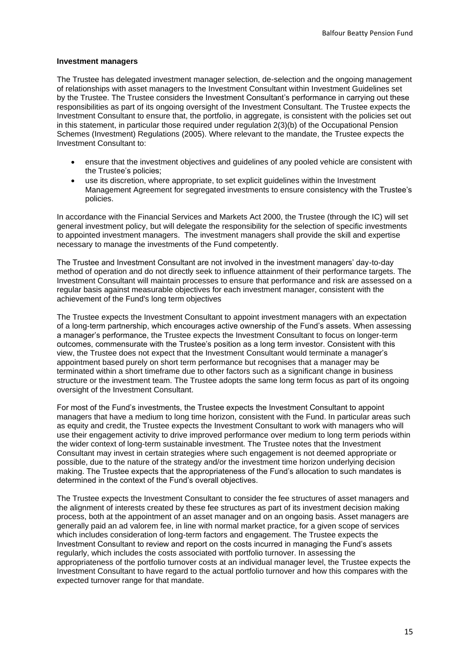#### **Investment managers**

The Trustee has delegated investment manager selection, de-selection and the ongoing management of relationships with asset managers to the Investment Consultant within Investment Guidelines set by the Trustee. The Trustee considers the Investment Consultant's performance in carrying out these responsibilities as part of its ongoing oversight of the Investment Consultant. The Trustee expects the Investment Consultant to ensure that, the portfolio, in aggregate, is consistent with the policies set out in this statement, in particular those required under regulation 2(3)(b) of the Occupational Pension Schemes (Investment) Regulations (2005). Where relevant to the mandate, the Trustee expects the Investment Consultant to:

- ensure that the investment objectives and guidelines of any pooled vehicle are consistent with the Trustee's policies;
- use its discretion, where appropriate, to set explicit guidelines within the Investment Management Agreement for segregated investments to ensure consistency with the Trustee's policies.

In accordance with the Financial Services and Markets Act 2000, the Trustee (through the IC) will set general investment policy, but will delegate the responsibility for the selection of specific investments to appointed investment managers. The investment managers shall provide the skill and expertise necessary to manage the investments of the Fund competently.

The Trustee and Investment Consultant are not involved in the investment managers' day-to-day method of operation and do not directly seek to influence attainment of their performance targets. The Investment Consultant will maintain processes to ensure that performance and risk are assessed on a regular basis against measurable objectives for each investment manager, consistent with the achievement of the Fund's long term objectives

The Trustee expects the Investment Consultant to appoint investment managers with an expectation of a long-term partnership, which encourages active ownership of the Fund's assets. When assessing a manager's performance, the Trustee expects the Investment Consultant to focus on longer-term outcomes, commensurate with the Trustee's position as a long term investor. Consistent with this view, the Trustee does not expect that the Investment Consultant would terminate a manager's appointment based purely on short term performance but recognises that a manager may be terminated within a short timeframe due to other factors such as a significant change in business structure or the investment team. The Trustee adopts the same long term focus as part of its ongoing oversight of the Investment Consultant.

For most of the Fund's investments, the Trustee expects the Investment Consultant to appoint managers that have a medium to long time horizon, consistent with the Fund. In particular areas such as equity and credit, the Trustee expects the Investment Consultant to work with managers who will use their engagement activity to drive improved performance over medium to long term periods within the wider context of long-term sustainable investment. The Trustee notes that the Investment Consultant may invest in certain strategies where such engagement is not deemed appropriate or possible, due to the nature of the strategy and/or the investment time horizon underlying decision making. The Trustee expects that the appropriateness of the Fund's allocation to such mandates is determined in the context of the Fund's overall objectives.

The Trustee expects the Investment Consultant to consider the fee structures of asset managers and the alignment of interests created by these fee structures as part of its investment decision making process, both at the appointment of an asset manager and on an ongoing basis. Asset managers are generally paid an ad valorem fee, in line with normal market practice, for a given scope of services which includes consideration of long-term factors and engagement. The Trustee expects the Investment Consultant to review and report on the costs incurred in managing the Fund's assets regularly, which includes the costs associated with portfolio turnover. In assessing the appropriateness of the portfolio turnover costs at an individual manager level, the Trustee expects the Investment Consultant to have regard to the actual portfolio turnover and how this compares with the expected turnover range for that mandate.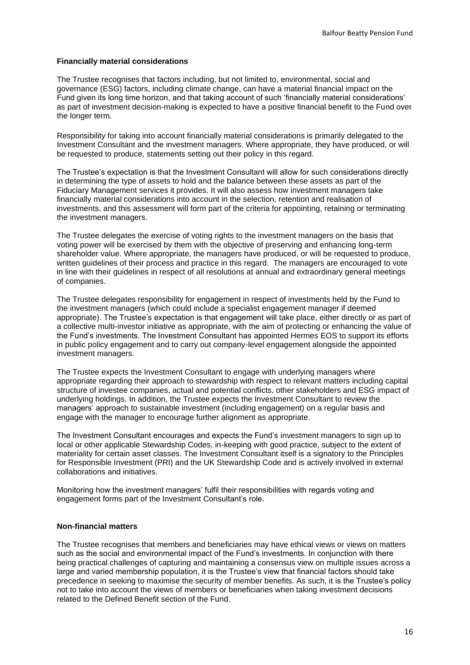## **Financially material considerations**

The Trustee recognises that factors including, but not limited to, environmental, social and governance (ESG) factors, including climate change, can have a material financial impact on the Fund given its long time horizon, and that taking account of such 'financially material considerations' as part of investment decision-making is expected to have a positive financial benefit to the Fund over the longer term.

Responsibility for taking into account financially material considerations is primarily delegated to the Investment Consultant and the investment managers. Where appropriate, they have produced, or will be requested to produce, statements setting out their policy in this regard.

The Trustee's expectation is that the Investment Consultant will allow for such considerations directly in determining the type of assets to hold and the balance between these assets as part of the Fiduciary Management services it provides. It will also assess how investment managers take financially material considerations into account in the selection, retention and realisation of investments, and this assessment will form part of the criteria for appointing, retaining or terminating the investment managers.

The Trustee delegates the exercise of voting rights to the investment managers on the basis that voting power will be exercised by them with the objective of preserving and enhancing long-term shareholder value. Where appropriate, the managers have produced, or will be requested to produce, written guidelines of their process and practice in this regard. The managers are encouraged to vote in line with their guidelines in respect of all resolutions at annual and extraordinary general meetings of companies.

The Trustee delegates responsibility for engagement in respect of investments held by the Fund to the investment managers (which could include a specialist engagement manager if deemed appropriate). The Trustee's expectation is that engagement will take place, either directly or as part of a collective multi-investor initiative as appropriate, with the aim of protecting or enhancing the value of the Fund's investments. The Investment Consultant has appointed Hermes EOS to support its efforts in public policy engagement and to carry out company-level engagement alongside the appointed investment managers.

The Trustee expects the Investment Consultant to engage with underlying managers where appropriate regarding their approach to stewardship with respect to relevant matters including capital structure of investee companies, actual and potential conflicts, other stakeholders and ESG impact of underlying holdings. In addition, the Trustee expects the Investment Consultant to review the managers' approach to sustainable investment (including engagement) on a regular basis and engage with the manager to encourage further alignment as appropriate.

The Investment Consultant encourages and expects the Fund's investment managers to sign up to local or other applicable Stewardship Codes, in-keeping with good practice, subject to the extent of materiality for certain asset classes. The Investment Consultant itself is a signatory to the Principles for Responsible Investment (PRI) and the UK Stewardship Code and is actively involved in external collaborations and initiatives.

Monitoring how the investment managers' fulfil their responsibilities with regards voting and engagement forms part of the Investment Consultant's role.

## **Non-financial matters**

The Trustee recognises that members and beneficiaries may have ethical views or views on matters such as the social and environmental impact of the Fund's investments. In conjunction with there being practical challenges of capturing and maintaining a consensus view on multiple issues across a large and varied membership population, it is the Trustee's view that financial factors should take precedence in seeking to maximise the security of member benefits. As such, it is the Trustee's policy not to take into account the views of members or beneficiaries when taking investment decisions related to the Defined Benefit section of the Fund.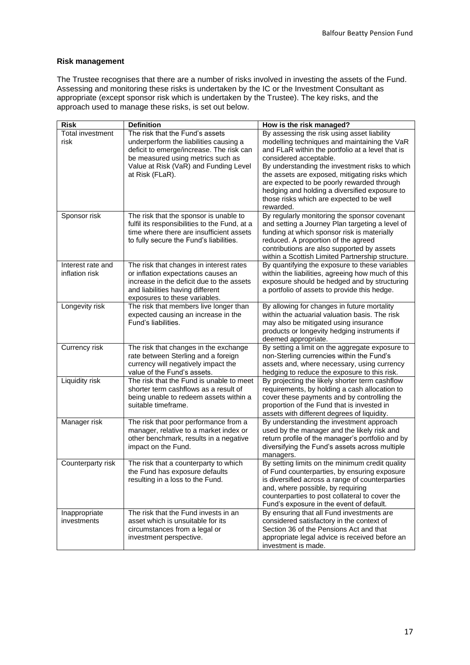# **Risk management**

The Trustee recognises that there are a number of risks involved in investing the assets of the Fund. Assessing and monitoring these risks is undertaken by the IC or the Investment Consultant as appropriate (except sponsor risk which is undertaken by the Trustee). The key risks, and the approach used to manage these risks, is set out below.

| <b>Risk</b>                         | <b>Definition</b>                                                                                                                                                                                                      | How is the risk managed?                                                                                                                                                                                                                                                                                                                                                                                                               |
|-------------------------------------|------------------------------------------------------------------------------------------------------------------------------------------------------------------------------------------------------------------------|----------------------------------------------------------------------------------------------------------------------------------------------------------------------------------------------------------------------------------------------------------------------------------------------------------------------------------------------------------------------------------------------------------------------------------------|
| <b>Total investment</b><br>risk     | The risk that the Fund's assets<br>underperform the liabilities causing a<br>deficit to emerge/increase. The risk can<br>be measured using metrics such as<br>Value at Risk (VaR) and Funding Level<br>at Risk (FLaR). | By assessing the risk using asset liability<br>modelling techniques and maintaining the VaR<br>and FLaR within the portfolio at a level that is<br>considered acceptable.<br>By understanding the investment risks to which<br>the assets are exposed, mitigating risks which<br>are expected to be poorly rewarded through<br>hedging and holding a diversified exposure to<br>those risks which are expected to be well<br>rewarded. |
| Sponsor risk                        | The risk that the sponsor is unable to<br>fulfil its responsibilities to the Fund, at a<br>time where there are insufficient assets<br>to fully secure the Fund's liabilities.                                         | By regularly monitoring the sponsor covenant<br>and setting a Journey Plan targeting a level of<br>funding at which sponsor risk is materially<br>reduced. A proportion of the agreed<br>contributions are also supported by assets<br>within a Scottish Limited Partnership structure.                                                                                                                                                |
| Interest rate and<br>inflation risk | The risk that changes in interest rates<br>or inflation expectations causes an<br>increase in the deficit due to the assets<br>and liabilities having different<br>exposures to these variables.                       | By quantifying the exposure to these variables<br>within the liabilities, agreeing how much of this<br>exposure should be hedged and by structuring<br>a portfolio of assets to provide this hedge.                                                                                                                                                                                                                                    |
| Longevity risk                      | The risk that members live longer than<br>expected causing an increase in the<br>Fund's liabilities.                                                                                                                   | By allowing for changes in future mortality<br>within the actuarial valuation basis. The risk<br>may also be mitigated using insurance<br>products or longevity hedging instruments if<br>deemed appropriate.                                                                                                                                                                                                                          |
| Currency risk                       | The risk that changes in the exchange<br>rate between Sterling and a foreign<br>currency will negatively impact the<br>value of the Fund's assets.                                                                     | By setting a limit on the aggregate exposure to<br>non-Sterling currencies within the Fund's<br>assets and, where necessary, using currency<br>hedging to reduce the exposure to this risk.                                                                                                                                                                                                                                            |
| Liquidity risk                      | The risk that the Fund is unable to meet<br>shorter term cashflows as a result of<br>being unable to redeem assets within a<br>suitable timeframe.                                                                     | By projecting the likely shorter term cashflow<br>requirements, by holding a cash allocation to<br>cover these payments and by controlling the<br>proportion of the Fund that is invested in<br>assets with different degrees of liquidity.                                                                                                                                                                                            |
| Manager risk                        | The risk that poor performance from a<br>manager, relative to a market index or<br>other benchmark, results in a negative<br>impact on the Fund.                                                                       | By understanding the investment approach<br>used by the manager and the likely risk and<br>return profile of the manager's portfolio and by<br>diversifying the Fund's assets across multiple<br>managers.                                                                                                                                                                                                                             |
| Counterparty risk                   | The risk that a counterparty to which<br>the Fund has exposure defaults<br>resulting in a loss to the Fund.                                                                                                            | By setting limits on the minimum credit quality<br>of Fund counterparties, by ensuring exposure<br>is diversified across a range of counterparties<br>and, where possible, by requiring<br>counterparties to post collateral to cover the<br>Fund's exposure in the event of default.                                                                                                                                                  |
| Inappropriate<br>investments        | The risk that the Fund invests in an<br>asset which is unsuitable for its<br>circumstances from a legal or<br>investment perspective.                                                                                  | By ensuring that all Fund investments are<br>considered satisfactory in the context of<br>Section 36 of the Pensions Act and that<br>appropriate legal advice is received before an<br>investment is made.                                                                                                                                                                                                                             |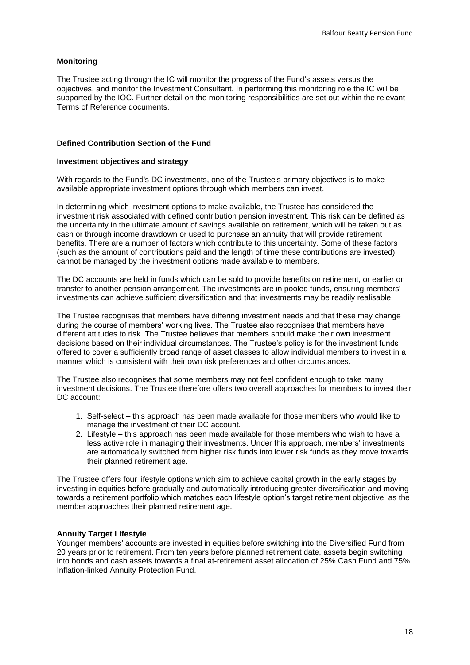# **Monitoring**

The Trustee acting through the IC will monitor the progress of the Fund's assets versus the objectives, and monitor the Investment Consultant. In performing this monitoring role the IC will be supported by the IOC. Further detail on the monitoring responsibilities are set out within the relevant Terms of Reference documents.

# **Defined Contribution Section of the Fund**

## **Investment objectives and strategy**

With regards to the Fund's DC investments, one of the Trustee's primary objectives is to make available appropriate investment options through which members can invest.

In determining which investment options to make available, the Trustee has considered the investment risk associated with defined contribution pension investment. This risk can be defined as the uncertainty in the ultimate amount of savings available on retirement, which will be taken out as cash or through income drawdown or used to purchase an annuity that will provide retirement benefits. There are a number of factors which contribute to this uncertainty. Some of these factors (such as the amount of contributions paid and the length of time these contributions are invested) cannot be managed by the investment options made available to members.

The DC accounts are held in funds which can be sold to provide benefits on retirement, or earlier on transfer to another pension arrangement. The investments are in pooled funds, ensuring members' investments can achieve sufficient diversification and that investments may be readily realisable.

The Trustee recognises that members have differing investment needs and that these may change during the course of members' working lives. The Trustee also recognises that members have different attitudes to risk. The Trustee believes that members should make their own investment decisions based on their individual circumstances. The Trustee's policy is for the investment funds offered to cover a sufficiently broad range of asset classes to allow individual members to invest in a manner which is consistent with their own risk preferences and other circumstances.

The Trustee also recognises that some members may not feel confident enough to take many investment decisions. The Trustee therefore offers two overall approaches for members to invest their DC account:

- 1. Self-select this approach has been made available for those members who would like to manage the investment of their DC account.
- 2. Lifestyle this approach has been made available for those members who wish to have a less active role in managing their investments. Under this approach, members' investments are automatically switched from higher risk funds into lower risk funds as they move towards their planned retirement age.

The Trustee offers four lifestyle options which aim to achieve capital growth in the early stages by investing in equities before gradually and automatically introducing greater diversification and moving towards a retirement portfolio which matches each lifestyle option's target retirement objective, as the member approaches their planned retirement age.

## **Annuity Target Lifestyle**

Younger members' accounts are invested in equities before switching into the Diversified Fund from 20 years prior to retirement. From ten years before planned retirement date, assets begin switching into bonds and cash assets towards a final at-retirement asset allocation of 25% Cash Fund and 75% Inflation-linked Annuity Protection Fund.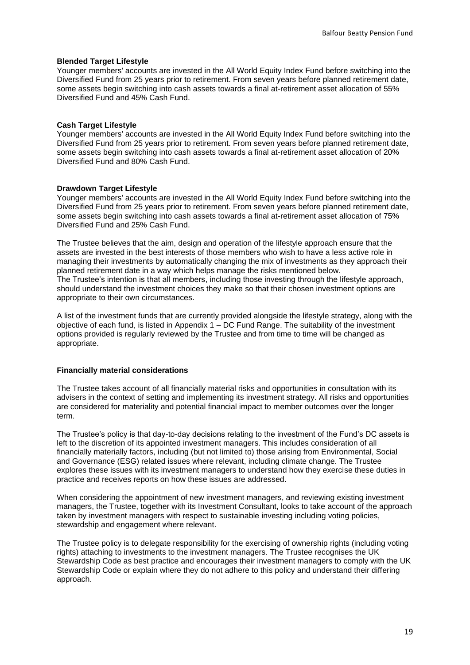## **Blended Target Lifestyle**

Younger members' accounts are invested in the All World Equity Index Fund before switching into the Diversified Fund from 25 years prior to retirement. From seven years before planned retirement date, some assets begin switching into cash assets towards a final at-retirement asset allocation of 55% Diversified Fund and 45% Cash Fund.

# **Cash Target Lifestyle**

Younger members' accounts are invested in the All World Equity Index Fund before switching into the Diversified Fund from 25 years prior to retirement. From seven years before planned retirement date, some assets begin switching into cash assets towards a final at-retirement asset allocation of 20% Diversified Fund and 80% Cash Fund.

## **Drawdown Target Lifestyle**

Younger members' accounts are invested in the All World Equity Index Fund before switching into the Diversified Fund from 25 years prior to retirement. From seven years before planned retirement date, some assets begin switching into cash assets towards a final at-retirement asset allocation of 75% Diversified Fund and 25% Cash Fund.

The Trustee believes that the aim, design and operation of the lifestyle approach ensure that the assets are invested in the best interests of those members who wish to have a less active role in managing their investments by automatically changing the mix of investments as they approach their planned retirement date in a way which helps manage the risks mentioned below. The Trustee's intention is that all members, including those investing through the lifestyle approach, should understand the investment choices they make so that their chosen investment options are appropriate to their own circumstances.

A list of the investment funds that are currently provided alongside the lifestyle strategy, along with the objective of each fund, is listed in Appendix 1 – DC Fund Range. The suitability of the investment options provided is regularly reviewed by the Trustee and from time to time will be changed as appropriate.

## **Financially material considerations**

The Trustee takes account of all financially material risks and opportunities in consultation with its advisers in the context of setting and implementing its investment strategy. All risks and opportunities are considered for materiality and potential financial impact to member outcomes over the longer term.

The Trustee's policy is that day-to-day decisions relating to the investment of the Fund's DC assets is left to the discretion of its appointed investment managers. This includes consideration of all financially materially factors, including (but not limited to) those arising from Environmental, Social and Governance (ESG) related issues where relevant, including climate change. The Trustee explores these issues with its investment managers to understand how they exercise these duties in practice and receives reports on how these issues are addressed.

When considering the appointment of new investment managers, and reviewing existing investment managers, the Trustee, together with its Investment Consultant, looks to take account of the approach taken by investment managers with respect to sustainable investing including voting policies, stewardship and engagement where relevant.

The Trustee policy is to delegate responsibility for the exercising of ownership rights (including voting rights) attaching to investments to the investment managers. The Trustee recognises the UK Stewardship Code as best practice and encourages their investment managers to comply with the UK Stewardship Code or explain where they do not adhere to this policy and understand their differing approach.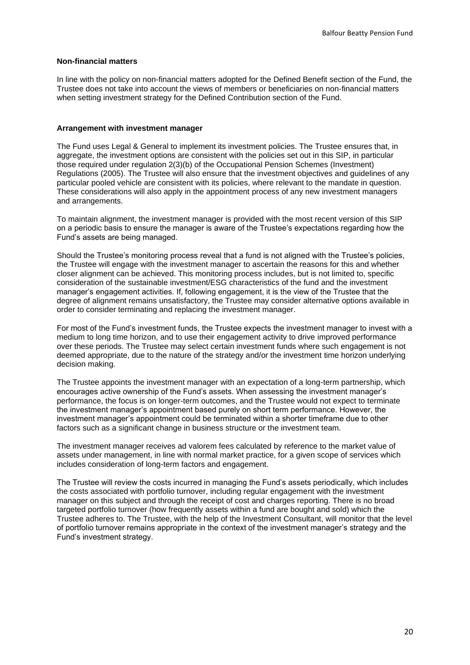## **Non-financial matters**

In line with the policy on non-financial matters adopted for the Defined Benefit section of the Fund, the Trustee does not take into account the views of members or beneficiaries on non-financial matters when setting investment strategy for the Defined Contribution section of the Fund.

## **Arrangement with investment manager**

The Fund uses Legal & General to implement its investment policies. The Trustee ensures that, in aggregate, the investment options are consistent with the policies set out in this SIP, in particular those required under regulation 2(3)(b) of the Occupational Pension Schemes (Investment) Regulations (2005). The Trustee will also ensure that the investment objectives and guidelines of any particular pooled vehicle are consistent with its policies, where relevant to the mandate in question. These considerations will also apply in the appointment process of any new investment managers and arrangements.

To maintain alignment, the investment manager is provided with the most recent version of this SIP on a periodic basis to ensure the manager is aware of the Trustee's expectations regarding how the Fund's assets are being managed.

Should the Trustee's monitoring process reveal that a fund is not aligned with the Trustee's policies, the Trustee will engage with the investment manager to ascertain the reasons for this and whether closer alignment can be achieved. This monitoring process includes, but is not limited to, specific consideration of the sustainable investment/ESG characteristics of the fund and the investment manager's engagement activities. If, following engagement, it is the view of the Trustee that the degree of alignment remains unsatisfactory, the Trustee may consider alternative options available in order to consider terminating and replacing the investment manager.

For most of the Fund's investment funds, the Trustee expects the investment manager to invest with a medium to long time horizon, and to use their engagement activity to drive improved performance over these periods. The Trustee may select certain investment funds where such engagement is not deemed appropriate, due to the nature of the strategy and/or the investment time horizon underlying decision making.

The Trustee appoints the investment manager with an expectation of a long-term partnership, which encourages active ownership of the Fund's assets. When assessing the investment manager's performance, the focus is on longer-term outcomes, and the Trustee would not expect to terminate the investment manager's appointment based purely on short term performance. However, the investment manager's appointment could be terminated within a shorter timeframe due to other factors such as a significant change in business structure or the investment team.

The investment manager receives ad valorem fees calculated by reference to the market value of assets under management, in line with normal market practice, for a given scope of services which includes consideration of long-term factors and engagement.

The Trustee will review the costs incurred in managing the Fund's assets periodically, which includes the costs associated with portfolio turnover, including regular engagement with the investment manager on this subject and through the receipt of cost and charges reporting. There is no broad targeted portfolio turnover (how frequently assets within a fund are bought and sold) which the Trustee adheres to. The Trustee, with the help of the Investment Consultant, will monitor that the level of portfolio turnover remains appropriate in the context of the investment manager's strategy and the Fund's investment strategy.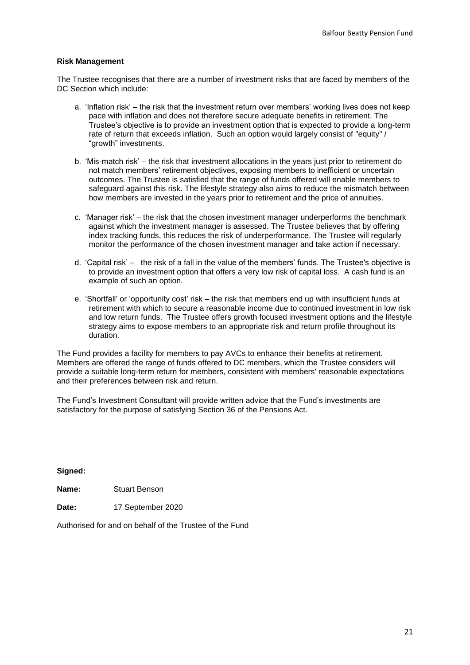## **Risk Management**

The Trustee recognises that there are a number of investment risks that are faced by members of the DC Section which include:

- a. 'Inflation risk' the risk that the investment return over members' working lives does not keep pace with inflation and does not therefore secure adequate benefits in retirement. The Trustee's objective is to provide an investment option that is expected to provide a long-term rate of return that exceeds inflation. Such an option would largely consist of "equity" / "growth" investments.
- b. 'Mis-match risk' the risk that investment allocations in the years just prior to retirement do not match members' retirement objectives, exposing members to inefficient or uncertain outcomes. The Trustee is satisfied that the range of funds offered will enable members to safeguard against this risk. The lifestyle strategy also aims to reduce the mismatch between how members are invested in the years prior to retirement and the price of annuities.
- c. 'Manager risk' the risk that the chosen investment manager underperforms the benchmark against which the investment manager is assessed. The Trustee believes that by offering index tracking funds, this reduces the risk of underperformance. The Trustee will regularly monitor the performance of the chosen investment manager and take action if necessary.
- d. 'Capital risk' the risk of a fall in the value of the members' funds. The Trustee's objective is to provide an investment option that offers a very low risk of capital loss. A cash fund is an example of such an option.
- e. 'Shortfall' or 'opportunity cost' risk the risk that members end up with insufficient funds at retirement with which to secure a reasonable income due to continued investment in low risk and low return funds. The Trustee offers growth focused investment options and the lifestyle strategy aims to expose members to an appropriate risk and return profile throughout its duration.

The Fund provides a facility for members to pay AVCs to enhance their benefits at retirement. Members are offered the range of funds offered to DC members, which the Trustee considers will provide a suitable long-term return for members, consistent with members' reasonable expectations and their preferences between risk and return.

The Fund's Investment Consultant will provide written advice that the Fund's investments are satisfactory for the purpose of satisfying Section 36 of the Pensions Act.

**Signed:**

**Name:** Stuart Benson

**Date:** 17 September 2020

Authorised for and on behalf of the Trustee of the Fund